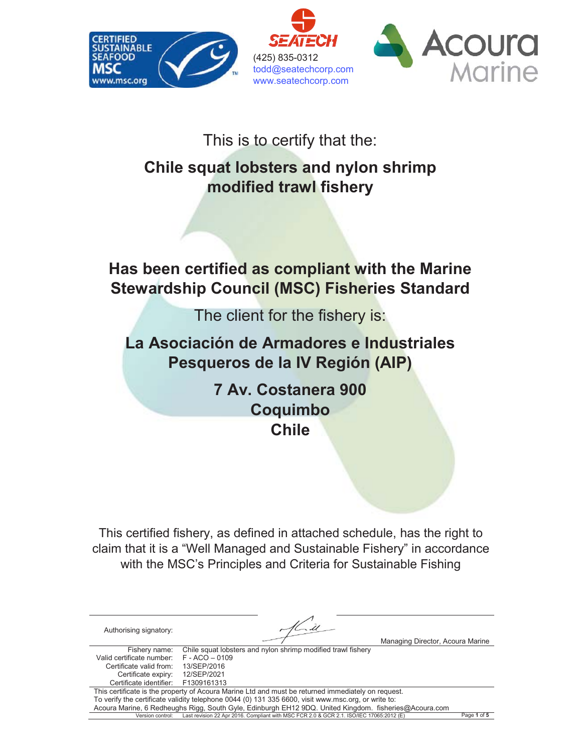

## This is to certify that the:

# **Chile squat lobsters and nylon shrimp modified trawl fishery**

## **Has been certified as compliant with the Marine Stewardship Council (MSC) Fisheries Standard**

The client for the fishery is:

**La Asociación de Armadores e Industriales Pesqueros de la IV Región (AIP)**

> **7 Av. Costanera 900 Coquimbo Chile**

This certified fishery, as defined in attached schedule, has the right to claim that it is a "Well Managed and Sustainable Fishery" in accordance with the MSC's Principles and Criteria for Sustainable Fishing

| Authorising signatory:    |                                                                                                       | Managing Director, Acoura Marine |
|---------------------------|-------------------------------------------------------------------------------------------------------|----------------------------------|
| Fishery name:             | Chile squat lobsters and nylon shrimp modified trawl fishery                                          |                                  |
| Valid certificate number: | $F - ACO - 0109$                                                                                      |                                  |
| Certificate valid from:   | 13/SEP/2016                                                                                           |                                  |
| Certificate expiry:       | 12/SEP/2021                                                                                           |                                  |
| Certificate identifier:   | F1309161313                                                                                           |                                  |
|                           | This certificate is the property of Acoura Marine Ltd and must be returned immediately on request.    |                                  |
|                           | To verify the certificate validity telephone 0044 (0) 131 335 6600, visit www.msc.org, or write to:   |                                  |
|                           | Acoura Marine, 6 Redheughs Rigg, South Gyle, Edinburgh EH12 9DQ. United Kingdom. fisheries@Acoura.com |                                  |
| Version control:          | Last revision 22 Apr 2016. Compliant with MSC FCR 2.0 & GCR 2.1. ISO/IEC 17065:2012 (E)               | Page 1 of 5                      |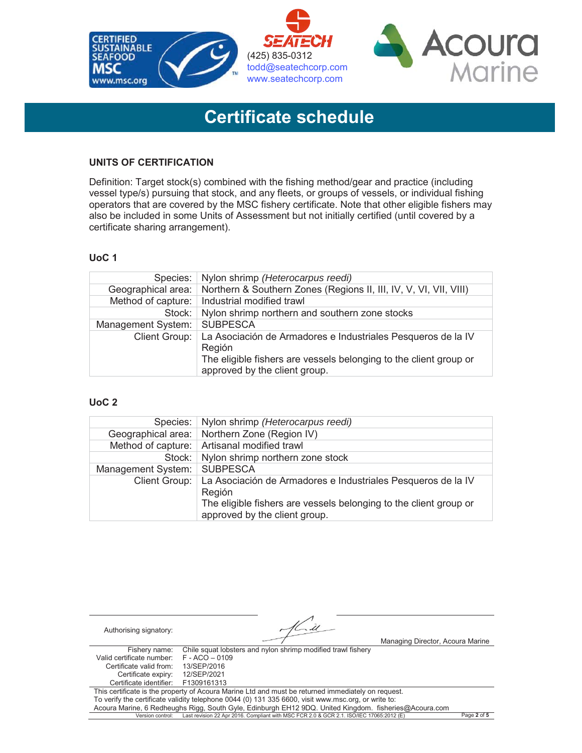

# **Certificate schedule**

### **UNITS OF CERTIFICATION**

Definition: Target stock(s) combined with the fishing method/gear and practice (including vessel type/s) pursuing that stock, and any fleets, or groups of vessels, or individual fishing operators that are covered by the MSC fishery certificate. Note that other eligible fishers may also be included in some Units of Assessment but not initially certified (until covered by a certificate sharing arrangement).

#### **UoC 1**

| Species:           | Nylon shrimp (Heterocarpus reedi)                                                                  |
|--------------------|----------------------------------------------------------------------------------------------------|
| Geographical area: | Northern & Southern Zones (Regions II, III, IV, V, VI, VII, VIII)                                  |
|                    | Method of capture:   Industrial modified trawl                                                     |
| Stock:             | Nylon shrimp northern and southern zone stocks                                                     |
| Management System: | <b>SUBPESCA</b>                                                                                    |
| Client Group:      | La Asociación de Armadores e Industriales Pesqueros de la IV<br>Región                             |
|                    | The eligible fishers are vessels belonging to the client group or<br>approved by the client group. |

#### **UoC 2**

| Species:           | Nylon shrimp (Heterocarpus reedi)                                                                                                                                            |
|--------------------|------------------------------------------------------------------------------------------------------------------------------------------------------------------------------|
|                    | Geographical area:   Northern Zone (Region IV)                                                                                                                               |
|                    | Method of capture:   Artisanal modified trawl                                                                                                                                |
| Stock:             | Nylon shrimp northern zone stock                                                                                                                                             |
| Management System: | <b>SUBPESCA</b>                                                                                                                                                              |
| Client Group:      | La Asociación de Armadores e Industriales Pesqueros de la IV<br>Región<br>The eligible fishers are vessels belonging to the client group or<br>approved by the client group. |

| Authorising signatory:    |                                                                                                       | Managing Director, Acoura Marine |             |
|---------------------------|-------------------------------------------------------------------------------------------------------|----------------------------------|-------------|
| Fishery name:             | Chile squat lobsters and nylon shrimp modified trawl fishery                                          |                                  |             |
| Valid certificate number: | $F - ACO - 0109$                                                                                      |                                  |             |
| Certificate valid from:   | 13/SEP/2016                                                                                           |                                  |             |
| Certificate expiry:       | 12/SEP/2021                                                                                           |                                  |             |
| Certificate identifier:   | F1309161313                                                                                           |                                  |             |
|                           | This certificate is the property of Acoura Marine Ltd and must be returned immediately on request.    |                                  |             |
|                           | To verify the certificate validity telephone 0044 (0) 131 335 6600, visit www.msc.org, or write to:   |                                  |             |
|                           | Acoura Marine, 6 Redheughs Rigg, South Gyle, Edinburgh EH12 9DQ. United Kingdom. fisheries@Acoura.com |                                  |             |
| Version control:          | Last revision 22 Apr 2016. Compliant with MSC FCR 2.0 & GCR 2.1. ISO/IEC 17065:2012 (E)               |                                  | Page 2 of 5 |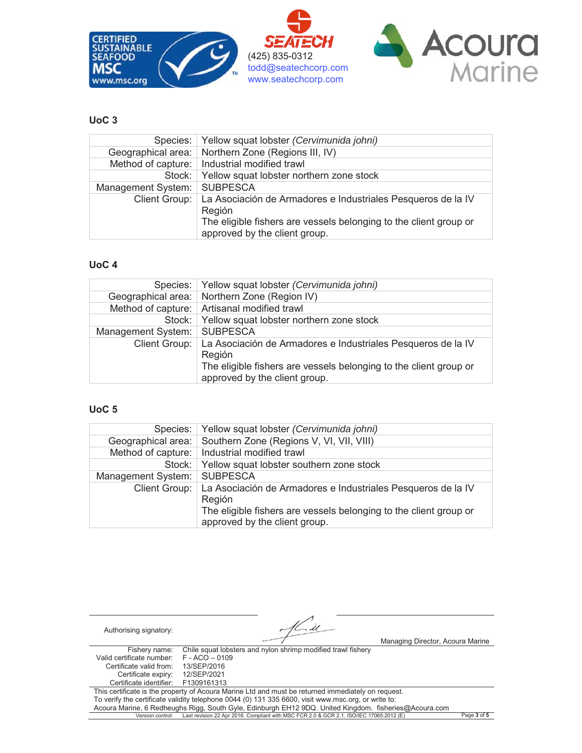

#### **UoC 3**

|                    | Species: Yellow squat lobster (Cervimunida johni)                 |
|--------------------|-------------------------------------------------------------------|
|                    | Geographical area:   Northern Zone (Regions III, IV)              |
|                    | Method of capture:   Industrial modified trawl                    |
| Stock:             | Yellow squat lobster northern zone stock                          |
| Management System: | <b>SUBPESCA</b>                                                   |
| Client Group:      | La Asociación de Armadores e Industriales Pesqueros de la IV      |
|                    | Región                                                            |
|                    | The eligible fishers are vessels belonging to the client group or |
|                    | approved by the client group.                                     |

#### **UoC 4**

|                    | Species:   Yellow squat lobster <i>(Cervimunida johni)</i>                                         |
|--------------------|----------------------------------------------------------------------------------------------------|
|                    | Geographical area:   Northern Zone (Region IV)                                                     |
|                    | Method of capture:   Artisanal modified trawl                                                      |
|                    | Stock: Yellow squat lobster northern zone stock                                                    |
| Management System: | <b>SUBPESCA</b>                                                                                    |
| Client Group:      | La Asociación de Armadores e Industriales Pesqueros de la IV<br>Región                             |
|                    | The eligible fishers are vessels belonging to the client group or<br>approved by the client group. |

#### **UoC 5**

|                    | Species:   Yellow squat lobster (Cervimunida johni)                                                |
|--------------------|----------------------------------------------------------------------------------------------------|
| Geographical area: | Southern Zone (Regions V, VI, VII, VIII)                                                           |
|                    | Method of capture:   Industrial modified trawl                                                     |
|                    | Stock: Yellow squat lobster southern zone stock                                                    |
| Management System: | <b>SUBPESCA</b>                                                                                    |
| Client Group:      | La Asociación de Armadores e Industriales Pesqueros de la IV<br>Región                             |
|                    | The eligible fishers are vessels belonging to the client group or<br>approved by the client group. |

| Authorising signatory:    |                                                                                                       | Managing Director, Acoura Marine |             |
|---------------------------|-------------------------------------------------------------------------------------------------------|----------------------------------|-------------|
| Fishery name:             | Chile squat lobsters and nylon shrimp modified trawl fishery                                          |                                  |             |
| Valid certificate number: | $F - ACO - 0109$                                                                                      |                                  |             |
| Certificate valid from:   | 13/SEP/2016                                                                                           |                                  |             |
| Certificate expiry:       | 12/SEP/2021                                                                                           |                                  |             |
| Certificate identifier:   | F1309161313                                                                                           |                                  |             |
|                           | This certificate is the property of Acoura Marine Ltd and must be returned immediately on request.    |                                  |             |
|                           | To verify the certificate validity telephone 0044 (0) 131 335 6600, visit www.msc.org, or write to:   |                                  |             |
|                           | Acoura Marine, 6 Redheughs Rigg, South Gyle, Edinburgh EH12 9DQ. United Kingdom. fisheries@Acoura.com |                                  |             |
| Version control:          | Last revision 22 Apr 2016. Compliant with MSC FCR 2.0 & GCR 2.1. ISO/IEC 17065:2012 (E)               |                                  | Page 3 of 5 |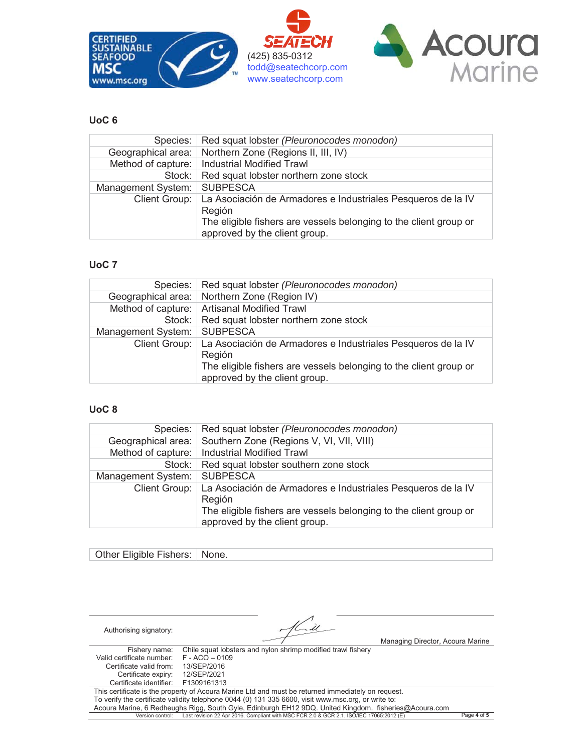

#### **UoC 6**

| Species:           | Red squat lobster (Pleuronocodes monodon)                         |
|--------------------|-------------------------------------------------------------------|
| Geographical area: | Northern Zone (Regions II, III, IV)                               |
|                    | Method of capture:   Industrial Modified Trawl                    |
| Stock:             | Red squat lobster northern zone stock                             |
| Management System: | <b>SUBPESCA</b>                                                   |
| Client Group:      | La Asociación de Armadores e Industriales Pesqueros de la IV      |
|                    | Región                                                            |
|                    | The eligible fishers are vessels belonging to the client group or |
|                    | approved by the client group.                                     |

#### **UoC 7**

| Species:           | Red squat lobster (Pleuronocodes monodon)                                                                                                                                    |
|--------------------|------------------------------------------------------------------------------------------------------------------------------------------------------------------------------|
|                    | Geographical area:   Northern Zone (Region IV)                                                                                                                               |
|                    | Method of capture:   Artisanal Modified Trawl                                                                                                                                |
|                    | Stock:   Red squat lobster northern zone stock                                                                                                                               |
| Management System: | <b>SUBPESCA</b>                                                                                                                                                              |
| Client Group:      | La Asociación de Armadores e Industriales Pesqueros de la IV<br>Región<br>The eligible fishers are vessels belonging to the client group or<br>approved by the client group. |

#### **UoC 8**

| Species:           | Red squat lobster (Pleuronocodes monodon)                                                          |
|--------------------|----------------------------------------------------------------------------------------------------|
| Geographical area: | Southern Zone (Regions V, VI, VII, VIII)                                                           |
|                    | Method of capture:   Industrial Modified Trawl                                                     |
| Stock:             | Red squat lobster southern zone stock                                                              |
| Management System: | <b>SUBPESCA</b>                                                                                    |
| Client Group:      | La Asociación de Armadores e Industriales Pesqueros de la IV<br>Región                             |
|                    | The eligible fishers are vessels belonging to the client group or<br>approved by the client group. |

#### Other Eligible Fishers: None.

| Authorising signatory:    | Managing Director, Acoura Marine                                                                      |             |
|---------------------------|-------------------------------------------------------------------------------------------------------|-------------|
| Fishery name:             | Chile squat lobsters and nylon shrimp modified trawl fishery                                          |             |
| Valid certificate number: | $F - ACO - 0109$                                                                                      |             |
| Certificate valid from:   | 13/SEP/2016                                                                                           |             |
| Certificate expiry:       | 12/SEP/2021                                                                                           |             |
| Certificate identifier:   | F1309161313                                                                                           |             |
|                           | This certificate is the property of Acoura Marine Ltd and must be returned immediately on request.    |             |
|                           | To verify the certificate validity telephone 0044 (0) 131 335 6600, visit www.msc.org, or write to:   |             |
|                           | Acoura Marine, 6 Redheughs Rigg, South Gyle, Edinburgh EH12 9DQ. United Kingdom. fisheries@Acoura.com |             |
| Version control:          | Last revision 22 Apr 2016. Compliant with MSC FCR 2.0 & GCR 2.1. ISO/IEC 17065:2012 (E)               | Page 4 of 5 |